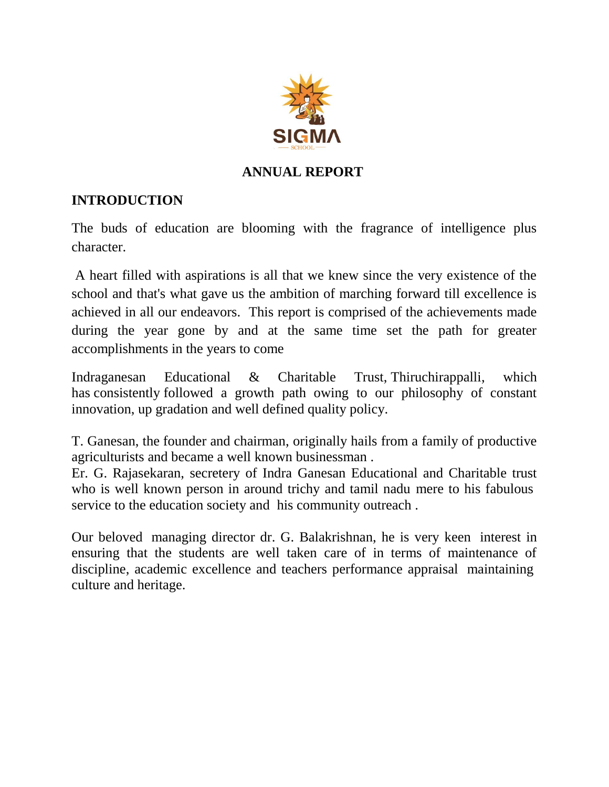

## **ANNUAL REPORT**

# **INTRODUCTION**

The buds of education are blooming with the fragrance of intelligence plus character.

A heart filled with aspirations is all that we knew since the very existence of the school and that's what gave us the ambition of marching forward till excellence is achieved in all our endeavors. This report is comprised of the achievements made during the year gone by and at the same time set the path for greater accomplishments in the years to come

Indraganesan Educational & Charitable Trust, Thiruchirappalli, which has consistently followed a growth path owing to our philosophy of constant innovation, up gradation and well defined quality policy.

T. Ganesan, the founder and chairman, originally hails from a family of productive agriculturists and became a well known businessman .

Er. G. Rajasekaran, secretery of Indra Ganesan Educational and Charitable trust who is well known person in around trichy and tamil nadu mere to his fabulous service to the education society and his community outreach .

Our beloved managing director dr. G. Balakrishnan, he is very keen interest in ensuring that the students are well taken care of in terms of maintenance of discipline, academic excellence and teachers performance appraisal maintaining culture and heritage.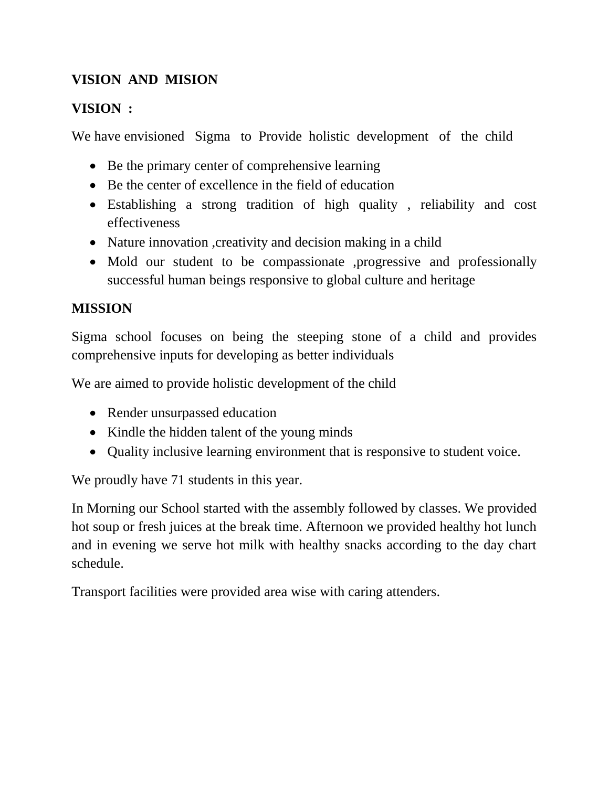# **VISION AND MISION**

## **VISION :**

We have envisioned Sigma to Provide holistic development of the child

- Be the primary center of comprehensive learning
- Be the center of excellence in the field of education
- Establishing a strong tradition of high quality , reliability and cost effectiveness
- Nature innovation , creativity and decision making in a child
- Mold our student to be compassionate ,progressive and professionally successful human beings responsive to global culture and heritage

## **MISSION**

Sigma school focuses on being the steeping stone of a child and provides comprehensive inputs for developing as better individuals

We are aimed to provide holistic development of the child

- Render unsurpassed education
- Kindle the hidden talent of the young minds
- Quality inclusive learning environment that is responsive to student voice.

We proudly have 71 students in this year.

In Morning our School started with the assembly followed by classes. We provided hot soup or fresh juices at the break time. Afternoon we provided healthy hot lunch and in evening we serve hot milk with healthy snacks according to the day chart schedule.

Transport facilities were provided area wise with caring attenders.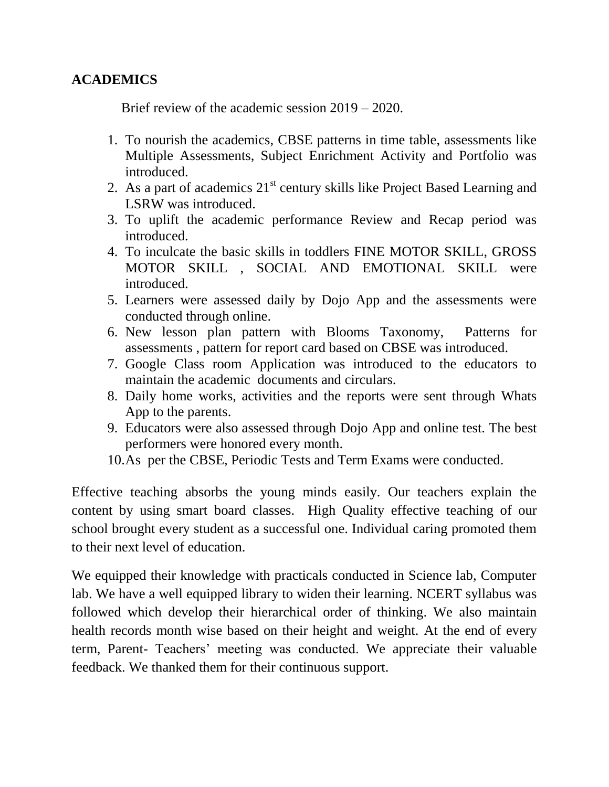#### **ACADEMICS**

Brief review of the academic session 2019 – 2020.

- 1. To nourish the academics, CBSE patterns in time table, assessments like Multiple Assessments, Subject Enrichment Activity and Portfolio was introduced.
- 2. As a part of academics  $21<sup>st</sup>$  century skills like Project Based Learning and LSRW was introduced.
- 3. To uplift the academic performance Review and Recap period was introduced.
- 4. To inculcate the basic skills in toddlers FINE MOTOR SKILL, GROSS MOTOR SKILL , SOCIAL AND EMOTIONAL SKILL were introduced.
- 5. Learners were assessed daily by Dojo App and the assessments were conducted through online.
- 6. New lesson plan pattern with Blooms Taxonomy, Patterns for assessments , pattern for report card based on CBSE was introduced.
- 7. Google Class room Application was introduced to the educators to maintain the academic documents and circulars.
- 8. Daily home works, activities and the reports were sent through Whats App to the parents.
- 9. Educators were also assessed through Dojo App and online test. The best performers were honored every month.
- 10.As per the CBSE, Periodic Tests and Term Exams were conducted.

Effective teaching absorbs the young minds easily. Our teachers explain the content by using smart board classes. High Quality effective teaching of our school brought every student as a successful one. Individual caring promoted them to their next level of education.

We equipped their knowledge with practicals conducted in Science lab, Computer lab. We have a well equipped library to widen their learning. NCERT syllabus was followed which develop their hierarchical order of thinking. We also maintain health records month wise based on their height and weight. At the end of every term, Parent- Teachers' meeting was conducted. We appreciate their valuable feedback. We thanked them for their continuous support.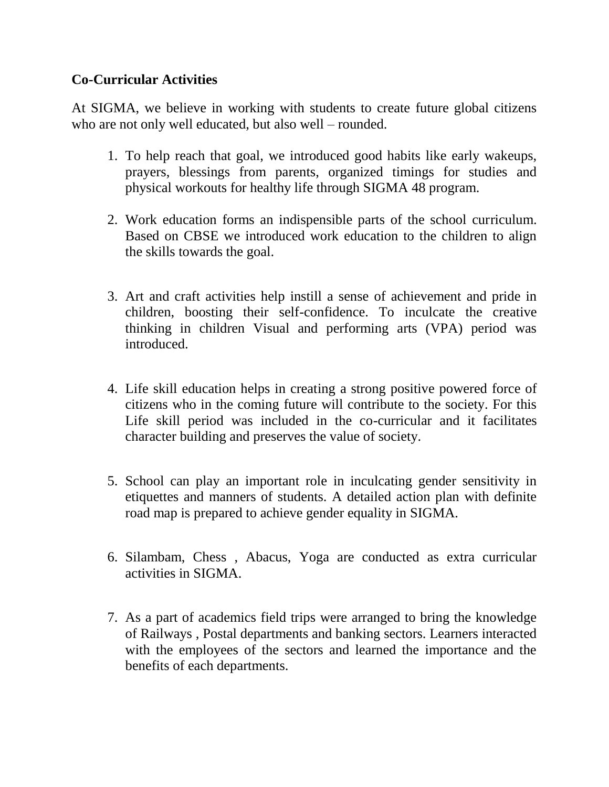#### **Co-Curricular Activities**

At SIGMA, we believe in working with students to create future global citizens who are not only well educated, but also well – rounded.

- 1. To help reach that goal, we introduced good habits like early wakeups, prayers, blessings from parents, organized timings for studies and physical workouts for healthy life through SIGMA 48 program.
- 2. Work education forms an indispensible parts of the school curriculum. Based on CBSE we introduced work education to the children to align the skills towards the goal.
- 3. Art and craft activities help instill a sense of achievement and pride in children, boosting their self-confidence. To inculcate the creative thinking in children Visual and performing arts (VPA) period was introduced.
- 4. Life skill education helps in creating a strong positive powered force of citizens who in the coming future will contribute to the society. For this Life skill period was included in the co-curricular and it facilitates character building and preserves the value of society.
- 5. School can play an important role in inculcating gender sensitivity in etiquettes and manners of students. A detailed action plan with definite road map is prepared to achieve gender equality in SIGMA.
- 6. Silambam, Chess , Abacus, Yoga are conducted as extra curricular activities in SIGMA.
- 7. As a part of academics field trips were arranged to bring the knowledge of Railways , Postal departments and banking sectors. Learners interacted with the employees of the sectors and learned the importance and the benefits of each departments.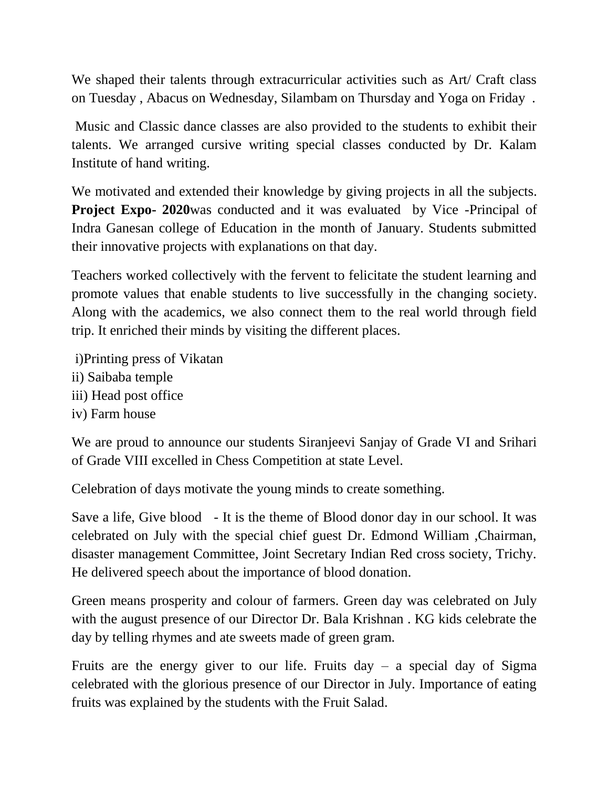We shaped their talents through extracurricular activities such as Art/ Craft class on Tuesday , Abacus on Wednesday, Silambam on Thursday and Yoga on Friday .

Music and Classic dance classes are also provided to the students to exhibit their talents. We arranged cursive writing special classes conducted by Dr. Kalam Institute of hand writing.

We motivated and extended their knowledge by giving projects in all the subjects. **Project Expo- 2020**was conducted and it was evaluated by Vice -Principal of Indra Ganesan college of Education in the month of January. Students submitted their innovative projects with explanations on that day.

Teachers worked collectively with the fervent to felicitate the student learning and promote values that enable students to live successfully in the changing society. Along with the academics, we also connect them to the real world through field trip. It enriched their minds by visiting the different places.

i)Printing press of Vikatan ii) Saibaba temple iii) Head post office iv) Farm house

We are proud to announce our students Siranjeevi Sanjay of Grade VI and Srihari of Grade VIII excelled in Chess Competition at state Level.

Celebration of days motivate the young minds to create something.

Save a life, Give blood - It is the theme of Blood donor day in our school. It was celebrated on July with the special chief guest Dr. Edmond William ,Chairman, disaster management Committee, Joint Secretary Indian Red cross society, Trichy. He delivered speech about the importance of blood donation.

Green means prosperity and colour of farmers. Green day was celebrated on July with the august presence of our Director Dr. Bala Krishnan . KG kids celebrate the day by telling rhymes and ate sweets made of green gram.

Fruits are the energy giver to our life. Fruits  $day - a$  special day of Sigma celebrated with the glorious presence of our Director in July. Importance of eating fruits was explained by the students with the Fruit Salad.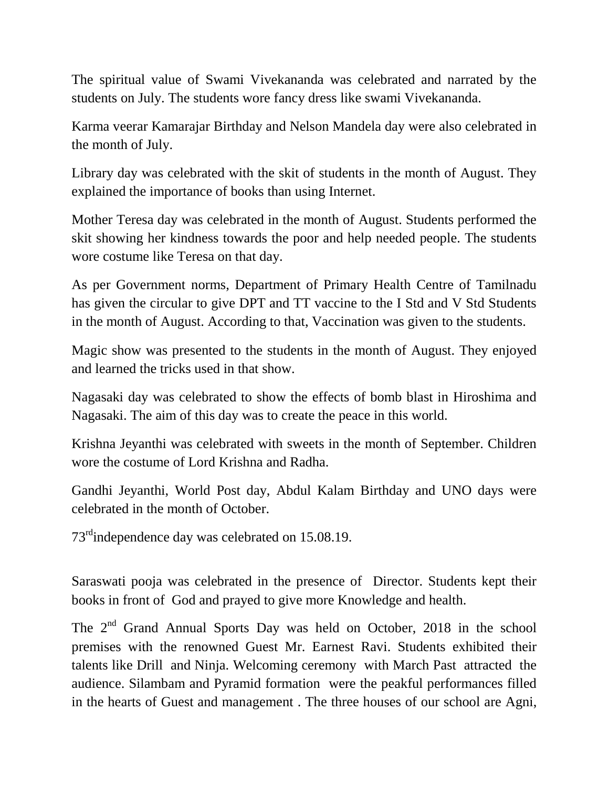The spiritual value of Swami Vivekananda was celebrated and narrated by the students on July. The students wore fancy dress like swami Vivekananda.

Karma veerar Kamarajar Birthday and Nelson Mandela day were also celebrated in the month of July.

Library day was celebrated with the skit of students in the month of August. They explained the importance of books than using Internet.

Mother Teresa day was celebrated in the month of August. Students performed the skit showing her kindness towards the poor and help needed people. The students wore costume like Teresa on that day.

As per Government norms, Department of Primary Health Centre of Tamilnadu has given the circular to give DPT and TT vaccine to the I Std and V Std Students in the month of August. According to that, Vaccination was given to the students.

Magic show was presented to the students in the month of August. They enjoyed and learned the tricks used in that show.

Nagasaki day was celebrated to show the effects of bomb blast in Hiroshima and Nagasaki. The aim of this day was to create the peace in this world.

Krishna Jeyanthi was celebrated with sweets in the month of September. Children wore the costume of Lord Krishna and Radha.

Gandhi Jeyanthi, World Post day, Abdul Kalam Birthday and UNO days were celebrated in the month of October.

73<sup>rd</sup>independence day was celebrated on 15.08.19.

Saraswati pooja was celebrated in the presence of Director. Students kept their books in front of God and prayed to give more Knowledge and health.

The 2<sup>nd</sup> Grand Annual Sports Day was held on October, 2018 in the school premises with the renowned Guest Mr. Earnest Ravi. Students exhibited their talents like Drill and Ninja. Welcoming ceremony with March Past attracted the audience. Silambam and Pyramid formation were the peakful performances filled in the hearts of Guest and management . The three houses of our school are Agni,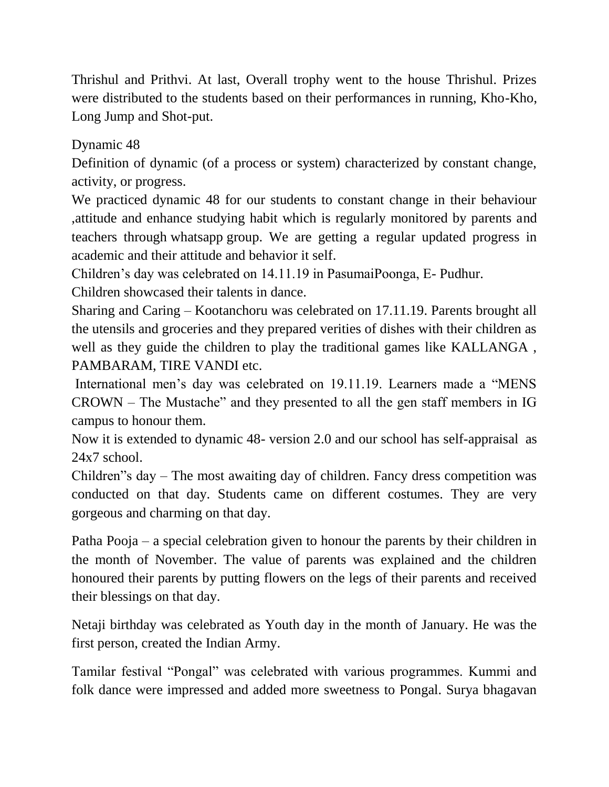Thrishul and Prithvi. At last, Overall trophy went to the house Thrishul. Prizes were distributed to the students based on their performances in running, Kho-Kho, Long Jump and Shot-put.

Dynamic 48

Definition of dynamic (of a process or system) characterized by constant change, activity, or progress.

We practiced dynamic 48 for our students to constant change in their behaviour ,attitude and enhance studying habit which is regularly monitored by parents and teachers through whatsapp group. We are getting a regular updated progress in academic and their attitude and behavior it self.

Children's day was celebrated on 14.11.19 in PasumaiPoonga, E- Pudhur.

Children showcased their talents in dance.

Sharing and Caring – Kootanchoru was celebrated on 17.11.19. Parents brought all the utensils and groceries and they prepared verities of dishes with their children as well as they guide the children to play the traditional games like KALLANGA , PAMBARAM, TIRE VANDI etc.

International men's day was celebrated on 19.11.19. Learners made a "MENS CROWN – The Mustache" and they presented to all the gen staff members in IG campus to honour them.

Now it is extended to dynamic 48- version 2.0 and our school has self-appraisal as 24x7 school.

Children"s day – The most awaiting day of children. Fancy dress competition was conducted on that day. Students came on different costumes. They are very gorgeous and charming on that day.

Patha Pooja – a special celebration given to honour the parents by their children in the month of November. The value of parents was explained and the children honoured their parents by putting flowers on the legs of their parents and received their blessings on that day.

Netaji birthday was celebrated as Youth day in the month of January. He was the first person, created the Indian Army.

Tamilar festival "Pongal" was celebrated with various programmes. Kummi and folk dance were impressed and added more sweetness to Pongal. Surya bhagavan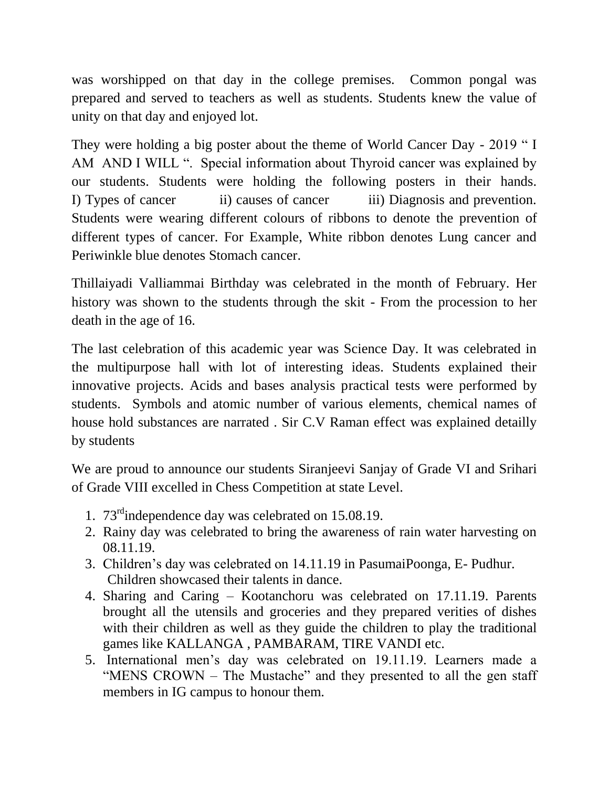was worshipped on that day in the college premises. Common pongal was prepared and served to teachers as well as students. Students knew the value of unity on that day and enjoyed lot.

They were holding a big poster about the theme of World Cancer Day - 2019 " I AM AND I WILL ". Special information about Thyroid cancer was explained by our students. Students were holding the following posters in their hands. I) Types of cancer ii) causes of cancer iii) Diagnosis and prevention. Students were wearing different colours of ribbons to denote the prevention of different types of cancer. For Example, White ribbon denotes Lung cancer and Periwinkle blue denotes Stomach cancer.

Thillaiyadi Valliammai Birthday was celebrated in the month of February. Her history was shown to the students through the skit - From the procession to her death in the age of 16.

The last celebration of this academic year was Science Day. It was celebrated in the multipurpose hall with lot of interesting ideas. Students explained their innovative projects. Acids and bases analysis practical tests were performed by students. Symbols and atomic number of various elements, chemical names of house hold substances are narrated . Sir C.V Raman effect was explained detailly by students

We are proud to announce our students Siranjeevi Sanjay of Grade VI and Srihari of Grade VIII excelled in Chess Competition at state Level.

- 1. 73rdindependence day was celebrated on 15.08.19.
- 2. Rainy day was celebrated to bring the awareness of rain water harvesting on 08.11.19.
- 3. Children's day was celebrated on 14.11.19 in PasumaiPoonga, E- Pudhur. Children showcased their talents in dance.
- 4. Sharing and Caring Kootanchoru was celebrated on 17.11.19. Parents brought all the utensils and groceries and they prepared verities of dishes with their children as well as they guide the children to play the traditional games like KALLANGA , PAMBARAM, TIRE VANDI etc.
- 5. International men's day was celebrated on 19.11.19. Learners made a "MENS CROWN – The Mustache" and they presented to all the gen staff members in IG campus to honour them.